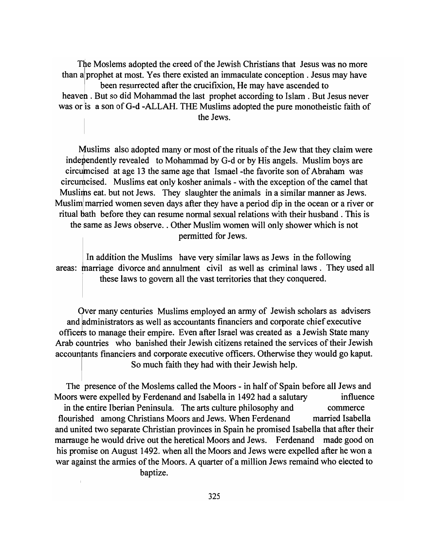The Moslems adopted the creed of the Jewish Christians that Jesus was no more than a prophet at most. Yes there existed an immaculate conception. Jesus may have been resurrected after the crucifixion, He may have ascended to heaven. But so did Mohammad the last prophet according to Islam. But Jesus never was or is a son of G-d -ALLAH. THE Muslims adopted the pure monotheistic faith of the Jews.

Muslims also adopted many or most of the rituals of the Jew that they claim were independently revealed to Mohammad by G-d or by His angels. Muslim boys are circumcised at age 13 the same age that Ismael -the favorite son of Abraham was circumcised. Muslims eat only kosher animals - with the exception of the camel that Muslims eat. but not Jews. They slaughter the animals in a similar manner as Jews. Musliml married women seven days after they have a period dip in the ocean or a river or ritual bath before they can resume normal sexual relations with their husband. This is the same as Jews observe .. Other Muslim women will only shower which is not permitted for Jews.

In addition the Muslims have very similar laws as Jews in the following areas: marriage divorce and annulment civil as well as criminal laws . They used all : these laws to govern all the vast territories that they conquered.

Over many centuries Muslims employed an army of Jewish scholars as advisers and administrators as well as accountants financiers and corporate chief executive officers to manage their empire. Even after Israel was created as a Jewish State many Arab countries who banished their Jewish citizens retained the services of their Jewish accountants financiers and corporate executive officers. Otherwise they would go kaput. So much faith they had with their Jewish help.

The presence of the Moslems called the Moors - in half of Spain before all Jews and Moors were expelled by Ferdenand and Isabella in 1492 had a salutary influence in the entire Iberian Peninsula. The arts culture philosophy and commerce flourished among Christians Moors and Jews. When F erdenand married Isabella and united two separate Christian provinces in Spain he promised Isabella that after their marrauge he would drive out the heretical Moors and Jews. Ferdenand made good on his promise on August 1492. when all the Moors and Jews were expelled after he won a war against the armies of the Moors. A quarter of a million Jews remaind who elected to baptize.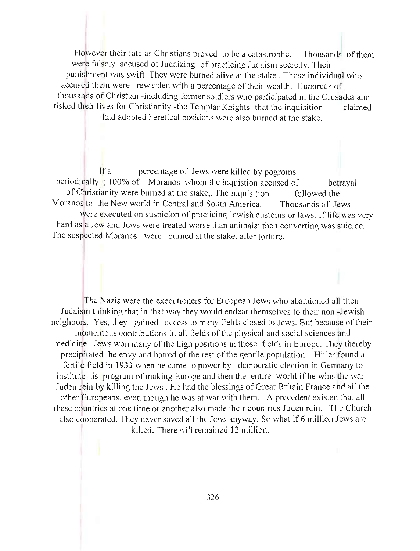However their fate as Christians proved to be a catastrophe. Thousands of them were falsely accused of Judaizing- of practicing Judaism secretly. Their punishment was swift. They were burned alive at the stake. Those individual who accused them were rewarded with a percentage of their wealth. Hundreds of thousands of Christian -including former soldiers who participated in the Crusades and risked their lives for Christianity -the Templar Knights- that the inquisition claimed

had adopted heretical positions were also burned at the stake.

If a percentage of Jews were killed by pogroms periodically ; 100% of Moranos whom the inquistion accused of betrayal of Christianity were burned at the stake,. The inquisition followed the Moranos to the New world in Central and South America. Thousands of Jews were executed on suspicion of practicing Jewish customs or laws. If life was very hard as a Jew and Jews were treated worse than animals; then converting was suicide. The suspected Moranos were burned at the stake, after torture.

The Nazis were the executioners for European Jews who abandoned all their Judaism thinking that in that way they would endear themselves to their non -Jewish neighbors. Yes, they gained access to many fields closed to Jews. But because of their momentous contributions in all fields of the physical and social sciences and medicine Jews won many of the high positions in those fields in Europe. They thereby precipitated the envy and hatred of the rest of the gentile population. Hitler found a fertile field in 1933 when he came to power by democratic election in Germany to institute his program of making Europe and then the entire world if he wins the war - Juden rein by killing the Jews . He had the blessings of Great Britain France and all the other Europeans, even though he was at war with them. A precedent existed that all these countries at one time or another also made their countries Juden rein. The Church also cooperated. They never saved all the Jews anyway. So what if 6 million Jews are killed. There still remained 12 million.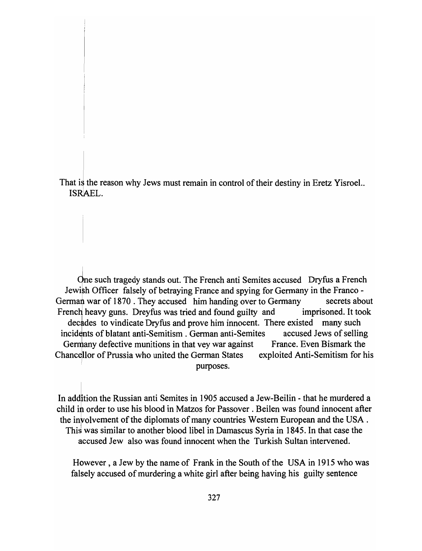That is the reason why Jews must remain in control of their destiny in Eretz Yisroel.. ISRAEL.

One such tragedy stands out. The French anti Semites accused Dryfus a French Jewish Officer falsely of betraying France and spying for Germany in the Franco -German war of 1870. They accused him handing over to Germany secrets about French heavy guns. Dreyfus was tried and found guilty and imprisoned. It took decades to vindicate Dryfus and prove him innocent. There existed many such incidents of blatant anti-Semitism. German anti-Semites accused Jews of selling Germany defective munitions in that vey war against France. Even Bismark the Chancellor of Prussia who united the German States exploited Anti-Semitism for his purposes.

In addition the Russian anti Semites in 1905 accused a Jew-Beilin - that he murdered a child in order to use his blood in Matzos for Passover. Beilen was found innocent after the involvement of the diplomats of many countries Western European and the USA. This was similar to another blood libel in Damascus Syria in 1845. In that case the accused Jew also was found innocent when the Turkish Sultan intervened.

However, a Jew by the name of Frank in the South of the USA in 1915 who was falsely accused of murdering a white girl after being having his guilty sentence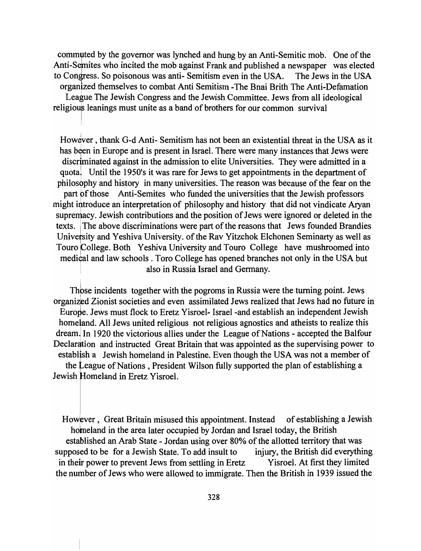commuted by the governor was lynched and hung by an Anti-Semitic mob. One of the Anti-Semites who incited the mob against Frank and published a newspaper was elected to Congress. So poisonous was anti- Semitism even in the USA. The Jews in the USA organized themselves to combat Anti Semitism -The Bnai Brith The Anti-Defamation

League The Jewish Congress and the Jewish Committee. Jews from all ideological religious leanings must unite as a band of brothers for our common survival

However, thank G-d Anti- Semitism has not been an existential threat in the USA as it has been in Europe and is present in Israel. There were many instances that Jews were discriminated against in the admission to elite Universities. They were admitted in a quota. Until the 1950's it was rare for Jews to get appointments in the department of philosbphy and history in many universities. The reason was because of the fear on the part of those Anti-Semites who funded the universities that the Jewish professors might introduce an interpretation of philosophy and history that did not vindicate Aryan supremacy. Jewish contributions and the position of Jews were ignored or deleted in the texts. The above discriminations were part of the reasons that Jews founded Brandies University and Yeshiva University. of the Rav Yitzchok Elchonen Seminarty as well as Touro College. Both Yeshiva University and Touro College have mushroomed into medical and law schools. Toro College has opened branches not only in the USA but also in Russia Israel and Germany.

Thbse incidents together with the pogroms in Russia were the turning point. Jews organized Zionist societies and even assimilated Jews realized that Jews had no future in Europe. Jews must flock to Eretz Yisroel- Israel-and establish an independent Jewish homeland. All Jews united religious not religious agnostics and atheists to realize this dream. In 1920 the victorious allies under the League of Nations - accepted the Balfour Declaration and instructed Great Britain that was appointed as the supervising power to establish a Jewish homeland in Palestine. Even though the USA was not a member of the League of Nations , President Wilson fully supported the plan of establishing a <sup>I</sup> Jewish Homeland in Eretz Yisroel.

However, Great Britain misused this appointment. Instead of establishing a Jewish homeland in the area later occupied by Jordan and Israel today, the British established an Arab State - Jordan using over 80% of the allotted territory that was supposed to be for a Jewish State. To add insult to injury, the British did everything in their power to prevent Jews from settling in Eretz Yisroel. At first they limited the number of Jews who were allowed to immigrate. Then the British in 1939 issued the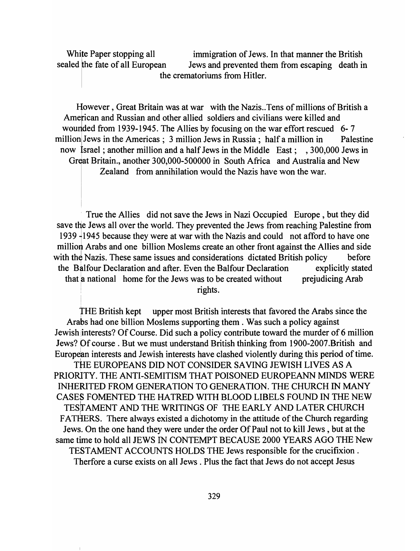White Paper stopping all immigration of Jews. In that manner the British sealed the fate of all European Jews and prevented them from escaping death in the crematoriums from Hitler.

However, Great Britain was at war with the Nazis .. Tens of millions of British a American and Russian and other allied soldiers and civilians were killed and wounded from 1939-1945. The Allies by focusing on the war effort rescued 6-7 million Jews in the Americas; 3 million Jews in Russia; half a million in Palestine now Israel; another million and a half Jews in the Middle East; , 300,000 Jews in Great Britain., another 300,000-500000 in South Africa and Australia and New Zealand from annihilation would the Nazis have won the war.

<sup>I</sup>True the Allies did not save the Jews in Nazi Occupied Europe, but they did save the Jews all over the world. They prevented the Jews from reaching Palestine from 1939 <sup>-</sup>1945 because they were at war with the Nazis and could not afford to have one million Arabs and one billion Moslems create an other front against the Allies and side with the Nazis. These same issues and considerations dictated British policy before the Balfour Declaration and after. Even the Balfour Declaration explicitly stated that a national home for the Jews was to be created without prejudicing Arab rights.

THE British kept upper most British interests that favored the Arabs since the Arabs had one billion Moslems supporting them. Was such a policy against Jewish interests? Of Course. Did such a policy contribute toward the murder of 6 million Jews? Of course. But we must understand British thinking from 1900-2007.British and European interests and Jewish interests have clashed violently during this period of time.

THE EUROPEANS DID NOT CONSIDER SAVING JEWISH LIVES AS A PRIORITY. THE ANTI-SEMITISM THAT POISONED EUROPEANN MINDS WERE INHERITED FROM GENERATION TO GENERATION. THE CHURCH IN MANY CASES FOMENTED THE HATRED WITH BLOOD LIBELS FOUND IN THE NEW TESTAMENT AND THE WRITINGS OF THE EARLY AND LATER CHURCH FATHERS. There always existed a dichotomy in the attitude of the Church regarding Jews. On the one hand they were under the order Of Paul not to kill Jews, but at the same time to hold all JEWS IN CONTEMPT BECAUSE 2000 YEARS AGO THE New TESTAMENT ACCOUNTS HOLDS THE Jews responsible for the crucifixion. Therfore a curse exists on all Jews. Plus the fact that Jews do not accept Jesus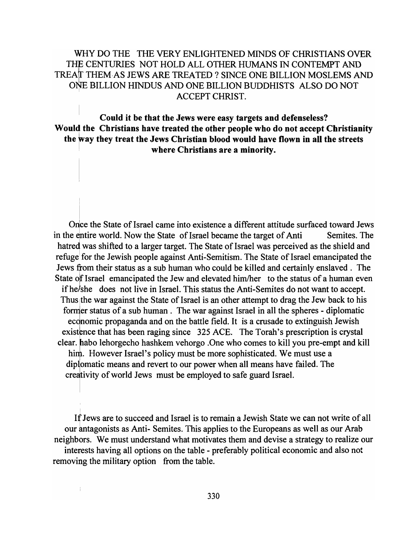### WHY DO THE THE VERY ENLIGHTENED MINDS OF CHRISTIANS OVER THE CENTURIES NOT HOLD ALL OTHER HUMANS IN CONTEMPT AND TREAT THEM AS JEWS ARE TREATED? SINCE ONE BILLION MOSLEMS AND 01% BILLION HINDUS AND ONE BILLION BUDDHISTS ALSO DO NOT ACCEPT CHRIST.

### Could it be that the Jews were easy targets and defenseless? Would the Christians have treated the other people who do not accept Christianity the way they treat the Jews Christian blood would have flown in all the streets where Christians are a minority.

Orice the State of Israel came into existence a different attitude surfaced toward Jews in the entire world. Now the State of Israel became the target of Anti Semites. The hatred was shifted to a larger target. The State of Israel was perceived as the shield and refuge' for the Jewish people against Anti-Semitism. The State of Israel emancipated the Jews from their status as a sub human who could be killed and certainly enslaved. The State of Israel emancipated the Jew and elevated him/her to the status of a human even if he/she does not live in Israel. This status the Anti-Semites do not want to accept. Thus the war against the State of Israel is an other attempt to drag the Jew back to his fomler status of a sub human. The war against Israel in all the spheres - diplomatic economic propaganda and on the battle field. It is a crusade to extinguish Jewish existence that has been raging since 325 ACE. The Torah's prescription is crystal clear. habo lehorgecho hashkem vehorgo .One who comes to kill you pre-empt and kill him. However Israel's policy must be more sophisticated. We must use a diplomatic means and revert to our power when all means have failed. The creativity of world Jews must be employed to safe guard Israel.

If Jews are to succeed and Israel is to remain a Jewish State we can not write of all our antagonists as Anti- Semites. This applies to the Europeans as well as our Arab neighbors. We must understand what motivates them and devise a strategy to realize our interests having all options on the table - preferably political economic and also not removing the military option from the table.

 $\frac{1}{2}$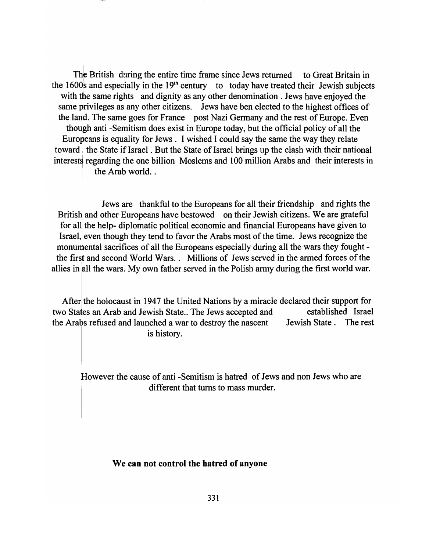The British during the entire time frame since Jews returned to Great Britain in the 1600s and especially in the  $19<sup>th</sup>$  century to today have treated their Jewish subjects with the same rights and dignity as any other denomination. Jews have enjoyed the same privileges as any other citizens. Jews have ben elected to the highest offices of the land. The same goes for France post Nazi Germany and the rest of Europe. Even though anti-Semitism does exist in Europe today, but the official policy of all the Europeans is equality for Jews. I wished I could say the same the way they relate toward the State if Israel. But the State of Israel brings up the clash with their national interests regarding the one billion Moslems and 100 million Arabs and their interests in the Arab world.. interests regarding the one billion Moslems and 100 million Arabs and their interests in the Arab world..

Jews are thankful to the Europeans for all their friendship and rights the British and other Europeans have bestowed on their Jewish citizens. We are grateful for all the help- diplomatic political economic and financial Europeans have given to Israel, even though they tend to favor the Arabs most of the time. Jews recognize the monumental sacrifices of all the Europeans especially during all the wars they fought the first and second World Wars.. Millions of Jews served in the armed forces of the allies in all the wars. My own father served in the Polish army during the first world war.

After the holocaust in 1947 the United Nations by a miracle declared their support for two States an Arab and Jewish State.. The Jews accepted and established Israel the Arabs refused and launched a war to destroy the nascent Jewish State. The rest is history.

However the cause of anti -Semitism is hatred of Jews and non Jews who are different that turns to mass murder.

#### We can not control the hatred of anyone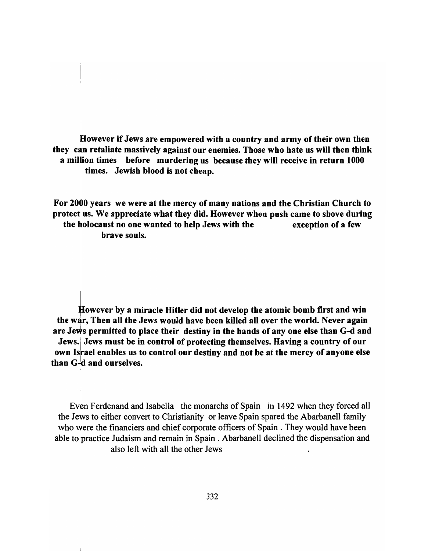However if Jews are empowered with a country and army of their own then they can retaliate massively against our enemies. Those who hate us will then think a million times before murdering us because they will receive in return 1000 times. Jewish blood is not cheap.

For 2000 years we were at the mercy of many nations and the Christian Church to protect us. We appreciate what they did. However when push came to shove during the holocaust no one wanted to help Jews with the exception of a few

brave souls.

I

However by a miracle Hitler did not develop the atomic bomb first and win the war, Then all the Jews would have been killed all over the world. Never again are Jews permitted to place their destiny in the hands of any one else than G-d and Jews. Jews must be in control of protecting themselves. Having a country of our own Israel enables us to control our destiny and not be at the mercy of anyone else than  $G-d$  and ourselves.

Even Ferdenand and Isabella the monarchs of Spain in 1492 when they forced all the Jews to either convert to Christianity or leave Spain spared the Abarbanell family who were the financiers and chief corporate officers of Spain. They would have been able to practice Judaism and remain in Spain. Abarbanell declined the dispensation and also left with all the other Jews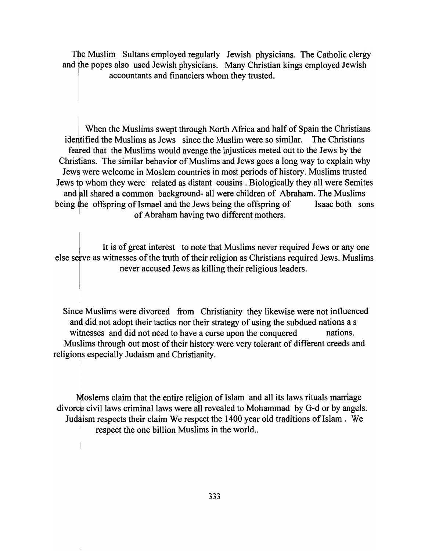The Muslim Sultans employed regularly Jewish physicians. The Catholic clergy and the popes also used Jewish physicians. Many Christian kings employed Jewish accountants and financiers whom they trusted.

When the Muslims swept through North Africa and half of Spain the Christians identified the Muslims as Jews since the Muslim were so similar. The Christians feafed that the Muslims would avenge the injustices meted out to the Jews by the Chrisfians. The similar behavior of Muslims and Jews goes a long way to explain why Jews were welcome in Moslem countries in most periods of history. Muslims trusted Jews to whom they were related as distant cousins. Biologically they all were Semites and all shared a common background- all were children of Abraham. The Muslims being the offspring of Ismael and the Jews being the offspring of Isaac both sons of Abraham having two different mothers.

It is of great interest to note that Muslims never required Jews or anyone else serve as witnesses of the truth of their religion as Christians required Jews. Muslims never accused Jews as killing their religious leaders.

Since Muslims were divorced from Christianity they likewise were not influenced and did not adopt their tactics nor their strategy of using the subdued nations a s witnesses and did not need to have a curse upon the conquered nations. Muslims through out most of their history were very tolerant of different creeds and religions especially Judaism and Christianity.

Moslems claim that the entire religion of Islam and all its laws rituals marriage divorce civil laws criminal laws were all revealed to Mohammad by G-d or by angels. Judaism respects their claim We respect the 1400 year old traditions of Islam . We respect the one billion Muslims in the world..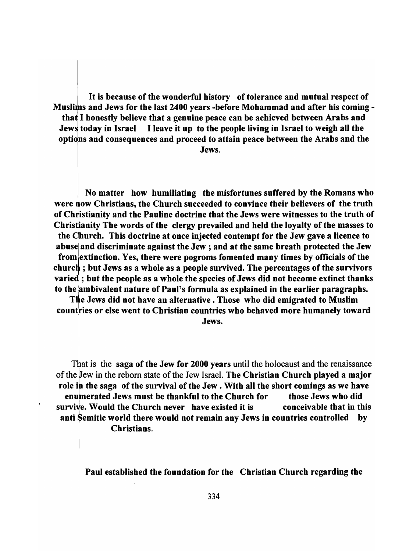It is because of the wonderful history of tolerance and mutual respect of Muslims and Jews for the last 2400 years -before Mohammad and after his coming that I honestly believe that a genuine peace can be achieved between Arabs and Jews today in Israel I leave it up to the people living in Israel to weigh all the options and consequences and proceed to attain peace between the Arabs and the Jews.

! No matter how humiliating the misfortunes suffered by the Romans who were now Christians, the Church succeeded to convince their believers of the truth of Christianity and the Pauline doctrine that the Jews were witnesses to the truth of Christianity The words of the clergy prevailed and held the loyalty of the masses to the Ohurch. This doctrine at once injected contempt for the Jew gave a licence to abuse and discriminate against the Jew ; and at the same breath protected the Jew from extinction. Yes, there were pogroms fomented many times by officials of the church; but Jews as a whole as a people survived. The percentages of the survivors varied; but the people as a whole the species of Jews did not become extinct thanks to the ambivalent nature of Paul's formula as explained in the earlier paragraphs.

The Jews did not have an alternative. Those who did emigrated to Muslim countries or else went to Christian countries who behaved more humanely toward

Jews.

That is the saga of the Jew for 2000 years until the holocaust and the renaissance of the Jew in the reborn state of the Jew Israel. The Christian Church played a major role in the saga of the survival of the Jew. With all the short comings as we have enumerated Jews must be thankful to the Church for those Jews who did survive. Would the Church never have existed it is conceivable that in this anti Semitic world there would not remain any Jews in countries controlled by Christians.

Paul established the foundation for the Christian Church regarding the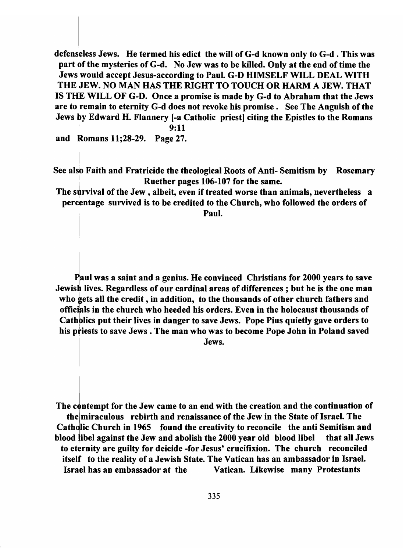defenseless Jews. He termed his edict the will of G-d known only to G-d. This was part of the mysteries of G-d. No Jew was to be killed. Only at the end of time the Jews would accept Jesus-according to Paul. G-D HIMSELF WILL DEAL WITH THE JEW. NO MAN HAS THE RIGHT TO TOUCH OR HARM A JEW. THAT IS THE WILL OF G-D. Once a promise is made by G-d to Abraham that the Jews are to remain to eternity G-d does not revoke his promise. See The Anguish of the Jews by Edward H. Flannery [-a Catholic priest] citing the Epistles to the Romans \ 9:11

and Romans 11;28-29. Page 27.

See also Faith and Fratricide the theological Roots of Anti- Semitism by Rosemary Ruether pages 106-107 for the same.

The survival of the Jew, albeit, even if treated worse than animals, nevertheless a percentage survived is to be credited to the Church, who followed the orders of Paul.

Paul was a saint and a genius. He convinced Christians for 2000 years to save Jewish lives. Regardless of our cardinal areas of differences; but he is the one man 1 who gets all the credit, in addition, to the thousands of other church fathers and officials in the church who heeded his orders. Even in the holocaust thousands of Catholics put their lives in danger to save Jews. Pope Pius quietly gave orders to his priests to save Jews. The man who was to become Pope John in Poland saved

Jews.

The contempt for the Jew came to an end with the creation and the continuation of the miraculous rebirth and renaissance of the Jew in the State of Israel. The Catholic Church in 1965 found the creativity to reconcile the anti Semitism and blood libel against the Jew and abolish the 2000 year old blood libel that all Jews to eternity are guilty for deicide -for Jesus' crucifixion. The church reconciled itself to the reality of a Jewish State. The Vatican has an ambassador in Israel. Israel has an embassador at the Vatican. Likewise many Protestants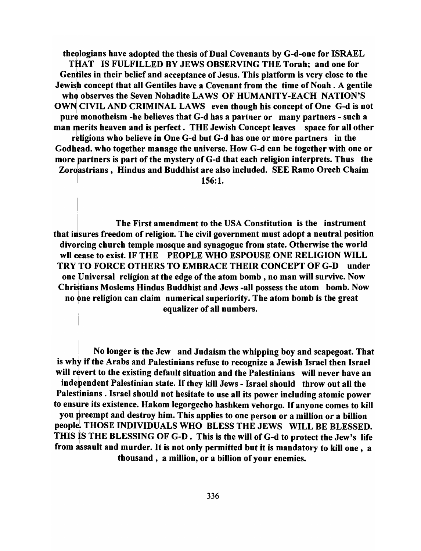theologians have adopted the thesis of Dual Covenants by G-d-one for ISRAEL THAT IS FULFILLED BY JEWS OBSERVING THE Torah; and one for Gentiles in their belief and acceptance of Jesus. This platform is very close to the Jewish concept that all Gentiles have a Covenant from the time of Noah. A gentile who observes the Seven Nohadite LAWS OF HUMANITY-EACH NATION'S OWN CIVIL AND CRIMINAL LAWS even though his concept of One G-d is not pure monotheism -he believes that G-d has a partner or many partners - such a man merits heaven and is perfect. THE Jewish Concept leaves space for all other religions who believe in One G-d but G-d has one or more partners in the Godhead. who together manage the universe. How G-d can be together with one or more partners is part of the mystery of G-d that each religion interprets. Thus the Zordastrians, Hindus and Buddhist are also included. SEE Ramo Orech Chaim  $156:1.$ 

<sup>I</sup>The First amendment to the USA Constitution is the instrument that insures freedom of religion. The civil government must adopt a neutral position divorcing church temple mosque and synagogue from state. Otherwise the world wll cease to exist. IF THE PEOPLE WHO ESPOUSE ONE RELIGION WILL TRY ITO FORCE OTHERS TO EMBRACE THEIR CONCEPT OF G-D under one [Universal religion at the edge of the atom bomb, no man will survive. Now Christians Moslems Hindus Buddhist and Jews -all possess the atom bomb. Now no one religion can claim numerical superiority. The atom bomb is the great equalizer of all numbers.

I No longer is the Jew and Judaism the whipping boy and scapegoat. That is why if the Arabs and Palestinians refuse to recognize a Jewish Israel then Israel will revert to the existing default situation and the Palestinians will never have an independent Palestinian state. If they kill Jews - Israel should throw out all the Palestinians . Israel should not hesitate to use all its power including atomic power to ensure its existence. Hakom legorgecho hashkem vehorgo. If anyone comes to kill you preempt and destroy him. This applies to one person or a million or a billion people. THOSE INDIVIDUALS WHO BLESS THE JEWS WILL BE BLESSED. THIS is THE BLESSING OF G-D. This is the will of G-d to protect the Jew's life from assault and murder. It is not only permitted but it is mandatory to kill one, a thousand, a million, or a billion of your enemies.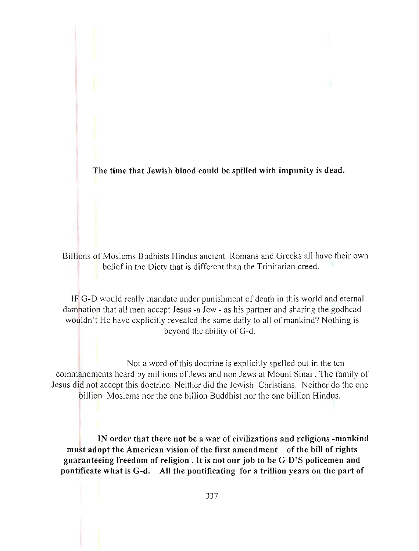The time that Jewish blood could be spilled with impunity is dead.

Billions of Moslems Budhists Hindus ancient Romans and Greeks all have their own belief in the Diety that is different than the Trinitarian creed.

IF G-D would really mandate under punishment of death in this world and eternal danmation that all men accept Jesus -a Jew - as his partner and sharing the godhead wouldn't He have explicitly revealed the same daily to all of mankind? Nothing is beyond the ability of G-d.

Not a word of this doctrine is explicitly spelled out in the ten commandments heard by millions of Jews and non Jews at Mount Sinai. The family of Jesus did not accept this doctrine. Neither did the Jewish Christians. Neither do the one billion Moslems nor the one billion Buddhist nor the one billion Hindus.

IN order that there not be a war of civilizations and religions -mankind must adopt the American vision of the first amendment of the bill of rights guaranteeing freedom of religion. It is not our job to be G-D'S policemen and pontificate what is G-d. All the pontificating for a trillion years on the part of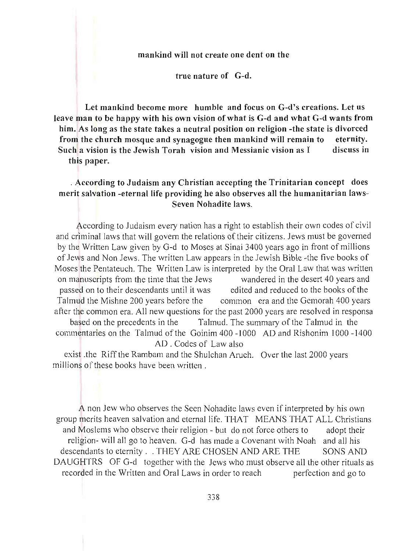#### mankind will not create one dent on the

true natnre of G-d.

Let mankind become more humble and focus on G-d's creations. Let us leave man to be happy with his own vision of what is G-d and what G-d wants from him. As long as the state takes a neutral position on religion -the state is divorced from the church mosque and synagogue then mankind will remain to eternity. Such a vision is the Jewish Torah vision and Messianic vision as I discuss in this paper.

#### . According to Judaism any Christian accepting the Trinitarian concept does merit salvation -eternal life providing he also observes all the humanitarian laws-Seven Nohadite laws.

According to Judaism every nation has a right to establish their own codes of civil and Criminal laws that will govern the relations of their citizens. Jews must be governed by the Written Law given by G-d to Moses at Sinai 3400 years ago in front of millions of Jews and Non Jews. The written Law appears in the Jewish Bible -the five books of Moses the Pentateuch. The Written Law is interpreted by the Oral Law that was written on manuscripts from the time that the Jews wandered in the desert 40 years and passed on to their descendants until it was edited and reduced to the books of the Talmud the Mishne 200 years before the common era and the Gemorah 400 years after the common era. All new questions for the past 2000 years are resolved in responsa based on the precedents in the Talmud. The summary of the Talmud in the commentaries on the Talmud of the Goinim 400 -1000 AD and Rishonim 1000 -1400 AD . Codes of Law also

exist .the Riff the Rambam and the Shulchan Aruch. Over the last 2000 years millions of these books have been written.

A non Jew who observes the Seen Nohadite laws even if interpreted by his own group merits heaven salvation and eternal life. THAT MEANS THAT ALL Christians and Moslems who observe their religion - but do not force others to adopt their religion- will all go to heaven. G-d has made a Covenant with Noah and all his descendants to eternity . . THEY ARE CHOSEN AND ARE THE SONS AND DAUGHTRS OF G-d together with the Jews who must observe all the other rituals as recorded in the Written and Oral Laws in order to reach perfection and go to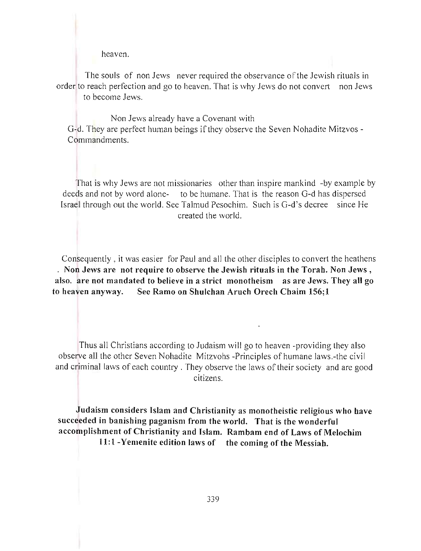heaven.

The souls of non Jews never required the observance of the Jewish rituals in order to reach perfection and go to heaven. That is why Jews do not convert non Jews to become Jews.

Non Jews already have a Covenant with G-d. They are perfect human beings if they observe the Seven Nohadite Mitzvos - Commandments.

That is why Jews are not missionaries other than inspire mankind -by example by deeds and not by word alone- to be humane. That is the reason G-d has dispersed Israel through out the world. See Talmud Pesochim. Such is G-d's decree since He created the world.

Consequently, it was easier for Paul and all the other disciples to convert the heathens . Non Jews are not require to observe the Jewish rituals in the Torah. Non Jews, also, are not mandated to believe in a strict monotheism as are Jews. They all go to heaven anyway. See Ramo on Shulchan Aruch Orech Chaim 156;1

Thus all Christians according to Judaism will go to heaven -providing they also observe all the other Seven Nohadite Mitzvohs -Principles of humane laws.-the civil and criminal laws of each country . They observe the laws of their society and are good citizens.

Judaism considers Islam and Christianity as monotheistic religious who have succeeded in banishing paganism from the world. That is the wonderful accomplishment of Christianity and Islam. Rambam end of Laws of Melochim 11:1 -Yemenite edition laws of the coming of the Messiah.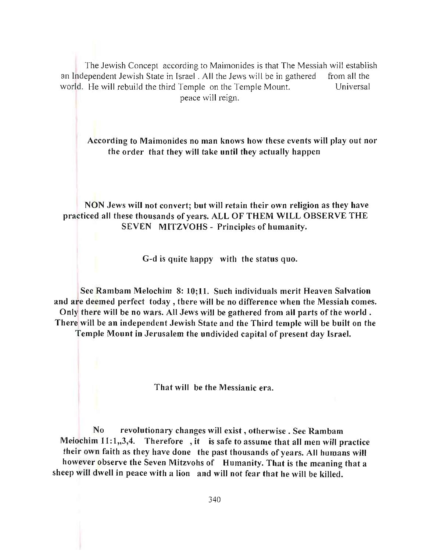The Jewish Concept according to Maimonides is that The Messiah will establish an Independent Jewish State in Israel. All the Jews will be in gathered from all the world. He will rebuild the third Temple on the Temple Mount. Universal peace will reign.

According to Maimonides no man knows how these events will play out nor the order that they will take until they actually happen

NON Jews will not convert; but will retain their own religion as they have practiced all these thousands of years. ALL OF THEM WILL OBSERVE THE SEVEN MITZVOHS - Principles of humanity.

G-d is quite happy with the status quo.

See Rambam Melochim 8: 10;11. Such individuals merit Heaven Salvation and are deemed perfect today, there will be no difference when the Messiah comes. Only there will be no wars. All Jews will be gathered from all parts of the world. There will be an independent Jewish State and the Third temple will be built on the

Temple Mount in Jerusalem the undivided capital of present day Israel.

That will be the Messianic era.

No revolutionary changes will exist, otherwise . See Rambam Melochim  $11:1,3,4$ . Therefore, it is safe to assume that all men will practice their own faith as they have done the past thousands of years. All humans will however observe the Seven Mitzvohs of Humanity. That is the meaning that a sheep will dwell in peace with a lion and will not fear that he will be killed.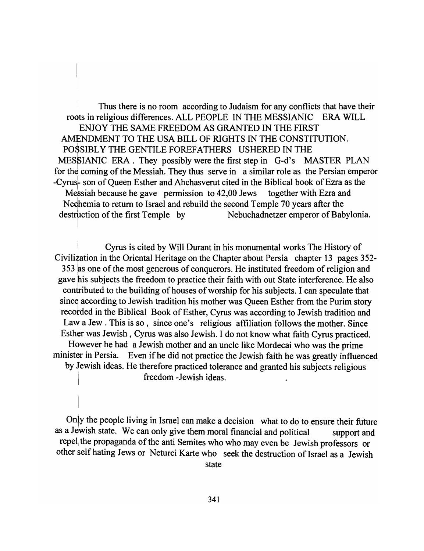Thus there is no room according to Judaism for any conflicts that have their roots in religious differences. ALL PEOPLE IN THE MESSIANIC ERA WILL <sup>I</sup>ENJOY THE SAME FREEDOM AS GRANTED IN THE FIRST AMENDMENT TO THE USA BILL OF RIGHTS IN THE CONSTITUTION. POSSIBL Y THE GENTILE FOREFATHERS USHERED IN THE MESSIANIC ERA. They possibly were the first step in G-d's MASTER PLAN for the coming of the Messiah. They thus serve in a similar role as the Persian emperor -Cyrus- son of Queen Esther and Ahchasverut cited in the Biblical book of Ezra as the Messiah because he gave permission to 42,00 Jews together with Ezra and Neqhemia to return to Israel and rebuild the second Temple 70 years after the destruction of the first Temple by Nebuchadnetzer emperor of Babylonia.

Cyrus is cited by Will Durant in his monumental works The History of Civilization in the Oriental Heritage on the Chapter about Persia chapter 13 pages 352-  $353$  as one of the most generous of conquerors. He instituted freedom of religion and gave his subjects the freedom to practice their faith with out State interference. He also contributed to the building of houses of worship for his subjects. I can speculate that since according to Jewish tradition his mother was Queen Esther from the Purim story recorded in the Biblical Book of Esther, Cyrus was according to Jewish tradition and Law a Jew. This is so, since one's religious affiliation follows the mother. Since Esther was Jewish, Cyrus was also Jewish. I do not know what faith Cyrus practiced. Hdwever he had a Jewish mother and an uncle like Mordecai who was the prime minister in Persia. Even if he did not practice the Jewish faith he was greatly influenced by tewish ideas. He therefore practiced tolerance and granted his subjects religious freedom -Jewish ideas.

Only the people living in Israel can make a decision what to do to ensure their future as a Jewish state. We can only give them moral financial and political support and repel the propaganda of the anti Semites who who may even be Jewish professors or other self hating Jews or Neturei Karte who seek the destruction of Israel as a Jewish state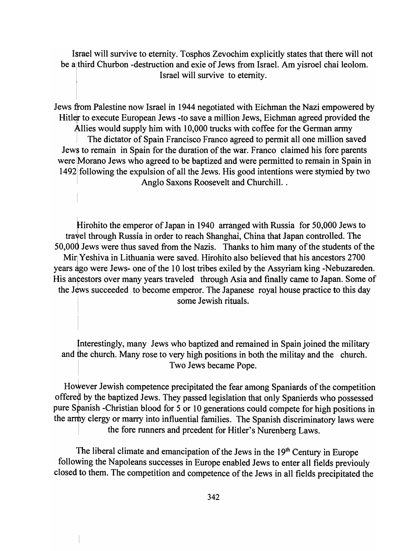Israel will survive to eternity. Tosphos Zevochim explicitly states that there will not be a third Churbon -destruction and exie of Jews from Israel. Am yisroel chai leolom. Israel will survive to eternity.

Jews from Palestine now Israel in 1944 negotiated with Eichman the Nazi empowered by Hitler to execute European Jews -to save a million Jews, Eichman agreed provided the Allies would supply him with 10,000 trucks with coffee for the German army <sup>I</sup>The dictator of Spain Francisco Franco agreed to permit all one million saved Jews to remain in Spain for the duration of the war. Franco claimed his fore parents were IMorano Jews who agreed to be baptized and were permitted to remain in Spain in 1492 following the expulsion of all the Jews. His good intentions were stymied by two Anglo Saxons Roosevelt and Churchill..

Hirohito the emperor of Japan in 1940 arranged with Russia for 50,000 Jews to tratel through Russia in order to reach Shanghai, China that Japan controlled. The 50,000 Jews were thus saved from the Nazis. Thanks to him many of the students of the Mir Yeshiva in Lithuania were saved. Hirohito also believed that his ancestors 2700 years ago were Jews- one of the 10 lost tribes exiled by the Assyriam king -Nebuzareden. His ancestors over many years traveled through Asia and finally came to Japan. Some of the Jews succeeded to become emperor. The Japanese royal house practice to this day some Jewish rituals.

Jnterestingly, many Jews who baptized and remained in Spain joined the military and the church. Many rose to very high positions in both the militay and the church. Two Jews became Pope.

However Jewish competence precipitated the fear among Spaniards of the competition offered by the baptized Jews. They passed legislation that only Spanierds who possessed pure Sbanish -Christian blood for 5 or 10 generations could compete for high positions in the army clergy or marry into influential families. The Spanish discriminatory laws were the fore runners and preedent for Hitler's Nurenberg Laws.

The liberal climate and emancipation of the Jews in the 19<sup>th</sup> Century in Europe following the Napoleans successes in Europe enabled Jews to enter all fields previouly closed to them. The competition and competence of the Jews in all fields precipitated the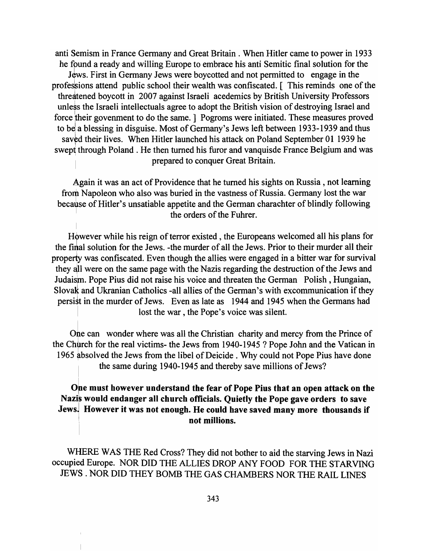anti Semism in France Germany and Great Britain. When Hitler came to power in 1933 he fpund a ready and willing Europe to embrace his anti Semitic final solution for the Jews. First in Germany Jews were boycotted and not permitted to engage in the professions attend public school their wealth was confiscated. [ This reminds one of the threatened boycott in 2007 against Israeli acedemics by British University Professors unless the Israeli intellectuals agree to adopt the British vision of destroying Israel and force their govenment to do the same. ] Pogroms were initiated. These measures proved to be a blessing in disguise. Most of Germany's Jews left between 1933-1939 and thus saved their lives. When Hitler launched his attack on Poland September 01 1939 he swept through Poland. He then turned his furor and vanquisde France Belgium and was prepared to conquer Great Britain.

Again it was an act of Providence that he turned his sights on Russia, not learning from Napoleon who also was buried in the vastness of Russia. Germany lost the war because of Hitler's unsatiable appetite and the German charachter of blindly following the orders of the Fuhrer.

However while his reign of terror existed, the Europeans welcomed all his plans for the final solution for the Jews. -the murder of all the Jews. Prior to their murder all their property was confiscated. Even though the allies were engaged in a bitter war for survival they all were on the same page with the Nazis regarding the destruction of the Jews and Judaism. Pope Pius did not raise his voice and threaten the German Polish, Hungaian, SlovaK and Ukranian Catholics -all allies of the German's with excommunication if they persist in the murder of Jews. Even as late as 1944 and 1945 when the Germans had lost the war, the Pope's voice was silent.

One can wonder where was all the Christian charity and mercy from the Prince of the Church for the real victims- the Jews from 1940-1945 ? Pope John and the Vatican in 1965 absolved the Jews from the libel of Deicide. Why could not Pope Pius have done the same during 1940-1945 and thereby save millions of Jews?

### One must however understand the fear of Pope Pius that an open attack on the Nazis would endanger all church officials. Quietly the Pope gave orders to save Jews. However it was not enough. He could have saved many more thousands if not millions.

WHERE WAS THE Red Cross? They did not bother to aid the starving Jews in Nazi occupied Europe. NOR DID THE ALLIES DROP ANY FOOD FOR THE STARVING JEWS. NOR DID THEY BOMB THE GAS CHAMBERS NOR THE RAIL LINES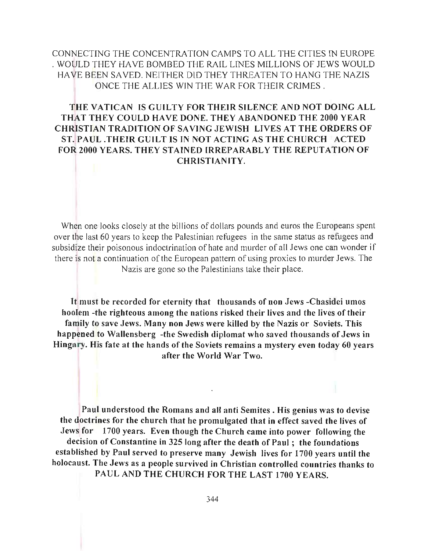# CONNECTING THE CONCENTRATION CAMPS TO ALL THE CITIES IN EUROPE . WOULD THEY HAVE BOMBED THE RAIL LINES MILLIONS OF JEWS WOULD HAVE BEEN SAVED. NEITHER DID THEY THREATEN TO HANG THE NAZIS ONCE THE ALLIES WIN THE WAR FOR THEIR CRIMES.

# THE VATICAN IS GUILTY FOR THEIR SILENCE AND NOT DOING ALL THAT THEY COULD HAVE DONE. THEY ABANDONED THE 2000 YEAR CHRISTIAN TRADITION OF SA VING JEWISH LIVES AT THE ORDERS OF ST. PAUL .THEIR GUILT IS IN NOT ACTING AS THE CHURCH ACTED FOR 2000 YEARS. THEY STAINED IRREPARABLY THE REPUTATION OF CHRISTIANITY.

When one looks closely at the billions of dollars pounds and euros the Europeans spent over the last 60 years to keep the Palestinian refugees in the same status as refugees and subsidize their poisonous indoctrination of hate and murder of all Jews one can wonder if there is not a continuation of the European pattern of using proxies to murder Jews. The Nazis are gone so the Palestinians take their place.

It must be recorded for eternity that thousands of non Jews -Chasidei umos hoolem -the righteous among the nations risked their lives and the lives of their family to save Jews. Many non Jews were killed by the Nazis or Soviets. This happened to Wallensberg -the Swedish diplomat who saved thousands of Jews in Hingary. His fate at the hands of the Soviets remains a mystery even today 60 years after the World War Two.

Paul understood the Romans and all anti Semites. His genius was to devise the doctrines for the church that he promulgated that in effect saved the lives of Jews for 1700 years. Even though the Church came into power following the decision of Constantine in 325 long after the death of Paul; the foundations established by Paul served to preserve many Jewish lives for 1700 years until the holocaust. The Jews as a people survived in Christian controlled countries thanks to PAUL AND THE CHURCH FOR THE LAST 1700 YEARS.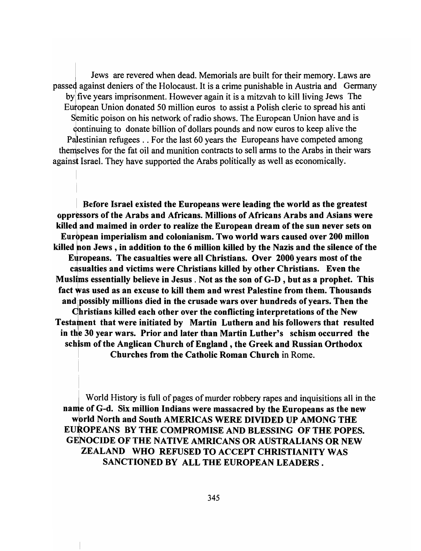passed against deniers of the Holocaust. It is a crime punishable in Austria and Germany<br>by five years imprisonment. However again it is a mitzvah to kill living Jews The<br>European Union donated 50 million euros to assist a Jews are revered when dead. Memorials are built for their memory. Laws are by five years imprisonment. However again it is a mitzvah to kill living Jews The European Union donated 50 million euros to assist a Polish cleric to spread his anti Semitic poison on his network of radio shows. The European Union have and is qontinuing to donate billion of dollars pounds and now euros to keep alive the Palestinian refugees .. For the last 60 years the Europeans have competed among themselves for the fat oil and munition contracts to sell arms to the Arabs in their wars against Israel. They have supported the Arabs politically as well as economically.

<sup>I</sup>Before Israel existed the Europeans were leading the world as the greatest oppressors of the Arabs and Africans. Millions of Africans Arabs and Asians were killed and maimed in order to realize the European dream of the sun never sets on Eurbpean imperialism and colonianism. Two world wars caused over 200 millon killed non Jews, in addition to the 6 million killed by the Nazis and the silence of the Europeans. The casualties were all Christians. Over 2000 years most of the casualties and victims were Christians killed by other Christians. Even the Muslims essentially believe in Jesus. Not as the son of G-D , but as a prophet. This fact was used as an excuse to kill them and wrest Palestine from them. Thousands and possibly millions died in the crusade wars over hundreds of vears. Then the Ohristians killed each other over the conflicting interpretations of the New Testament that were initiated by Martin Luthern and his followers that resulted in the 30 year wars. Prior and later than Martin Luther's schism occurred the schism of the Anglican Church of England, the Greek and Russian Orthodox Churches from the Catholic Roman Church in Rome.

World History is full of pages of murder robbery rapes and inquisitions all in the name of G-d. Six million Indians were massacred by the Europeans as the new world North and South AMERICAS WERE DIVIDED UP AMONG THE EUROPEANS BY THE COMPROMISE AND BLESSING OF THE POPES. GENOCIDE OF THE NATIVE AMRICANS OR AUSTRALIANS OR NEW ZEALAND WHO REFUSED TO ACCEPT CHRISTIANITY WAS SANCTIONED BY ALL THE EUROPEAN LEADERS.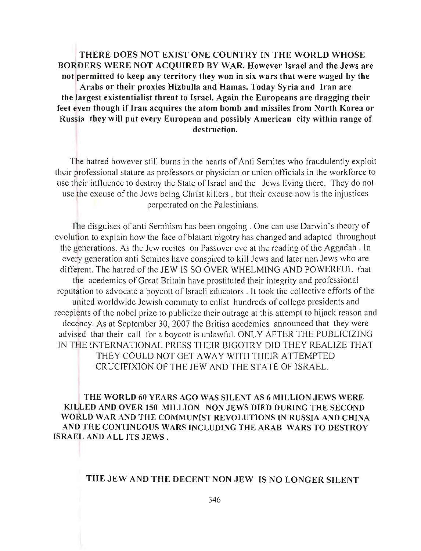THERE DOES NOT EXIST ONE COUNTRY IN THE WORLD WHOSE BORDERS WERE NOT ACQUIRED BY WAR. However Israel and the Jews are not permitted to keep any territory they won in six wars that were waged by the Arabs or their proxies Hizbulla and Hamas. Today Syria and Iran are the largest existentialist threat to Israel. Again the Europeans are dragging their feet even though if Iran acquires the atom bomb and missiles from North Korea or Russia they will put every European and possibly American city within range of destruction.

The hatred however still burns in the hearts of Anti Semites who fraudulently exploit their professional stature as professors or physician or union officials in the workforce to use their influence to destroy the State of Israel and the Jews living there. They do not use the excuse of the Jews being Christ killers , but their excuse now is the injustices perpetrated on the Palestinians.

The disguises of anti Semitism has been ongoing. One can use Darwin's theory of evolution to explain how the face of blatant bigotry has changed and adapted throughout the generations. As the Jew recites on Passover eve at the reading of the Aggadah . In every generation anti Semites have conspired to kill Jews and later non Jews who are different. The hatred of the JEW IS SO OVER WHELMING AND POWERFUL that the acedemics of Great Britain have prostituted their integrity and professional reputation to advocate a boycott of Israeli educators. It took the collective efforts of the united worldwide Jewish commuty to enlist hundreds of college presidents and recepients of the nobel prize to publicize their outrage at this attempt to hijack reason and decency. As at September 30, 2007 the British acedemics announced that they were advised that their call for a boycott is unlawful. ONLY AFTER THE PUBLICIZING IN THE INTERNATIONAL PRESS THEIR BIGOTRY DID THEY REALIZE THAT THEY COULD NOT GET AWAY WITH THEIR ATTEMPTED CRUCIFIXION OF THE JEW AND THE STATE OF ISRAEL.

THE WORLD 60 YEARS AGO WAS SILENT AS 6 MILLION JEWS WERE KJLLED AND OVER 150 MILLION NON JEWS DIED DURING THE SECOND WORLD WAR AND THE COMMUNIST REVOLUTIONS IN RUSSIA AND CHINA AND THE CONTINUOUS WARS INCLUDING THE ARAB WARS TO DESTROY ISRAEL AND ALL ITS JEWS.

#### THE JEW AND THE DECENT NON JEW IS NO LONGER SILENT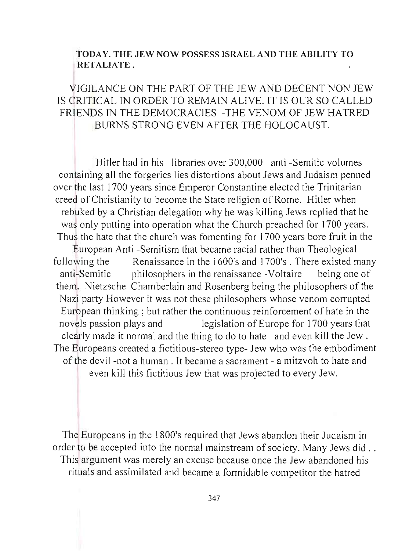# TODA Y. THE JEW NOW POSSESS ISRAEL AND THE ABILITY TO RETALIATE.

# VIGILANCE ON THE PART OF THE JEW AND DECENT NON JEW IS CRITICAL IN ORDER TO REMAIN ALIVE. IT IS OUR SO CALLED FRIENDS IN THE DEMOCRACIES -THE VENOM OF JEW HATRED BURNS STRONG EVEN AFTER THE HOLOCAUST.

Hitler had in his libraries over 300,000 anti -Semitic volumes containing all the forgeries lies distortions about Jews and Judaism penned over the last 1700 years since Emperor Constantine elected the Trinitarian creed of Christianity to become the State religion of Rome. Hitler when rebuked by a Christian delegation why he was killing Jews replied that he was only putting into operation what the Church preached for 1700 years. Thus the hate that the church was fomenting for 1700 years bore fruit in the European Anti -Semitism that became racial rather than Theological following the Renaissance in the 1600's and 1700's. There existed many anti-Semitic philosophers in the renaissance -Voltaire being one of them. Nietzsche Chamberlain and Rosenberg being the philosophers of the Nazi party However it was not these philosophers whose venom corrupted European thinking ; but rather the continuous reinforcement of hate in the novels passion plays and legislation of Europe for 1700 years that clearly made it normal and the thing to do to hate and even kill the Jew . The Europeans created a fictitious-stereo type- Jew who was the embodiment of the devil -not a human. It became a sacrament - a mitzvoh to hate and even kill this fictitious Jew that was projected to every Jew.

The Europeans in the 1800's required that Jews abandon their Judaism in order to be accepted into the normal mainstream of society. Many Jews did .. This argument was merely an excuse because once the Jew abandoned his rituals and assimilated and became a formidable competitor the hatred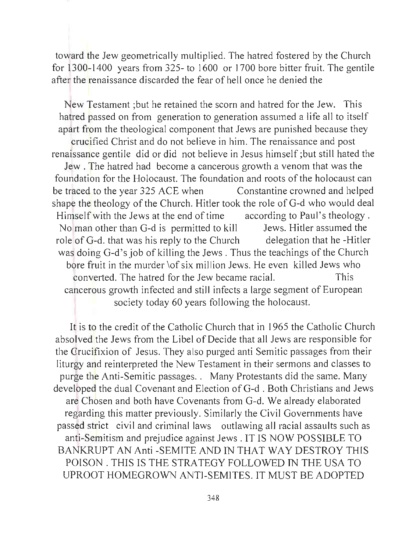toward the Jew geometrically multiplied. The hatred fostered by the Church for 1300-1400 years from 325- to 1600 or 1700 bore bitter fruit. The gentile after the renaissance discarded the fear of hell once he denied the

New Testament ;but he retained the scorn and hatred for the Jew. This hatred passed on from generation to generation assumed a life all to itself apart from the theological component that Jews are punished because they crucified Christ and do not believe in him. The renaissance and post renaissance gentile did or did not believe in Jesus himself ;but still hated the Jew. The hatred had become a cancerous growth a venom that was the foundation for the Holocaust. The foundation and roots of the holocaust can be traced to the year 325 ACE when Constantine crowned and helped shape the theology of the Church. Hitler took the role of G-d who would deal Himself with the Jews at the end of time according to Paul's theology. No man other than G-d is permitted to kill Jews. Hitler assumed the role of G-d. that was his reply to the Church delegation that he -Hitler was doing G-d's job of killing the Jews. Thus the teachings of the Church bore fruit in the murder \of six million Jews. He even killed Jews who converted. The hatred for the Jew became racial. This cancerous growth infected and still infects a large segment of European society today 60 years following the holocaust.

It is to the credit of the Catholic Church that in 1965 the Catholic Church absolved the Jews from the Libel of Decide that all Jews are responsible for the Crucifixion of Jesus. They also purged anti Semitic passages from their liturgy and reinterpreted the New Testament in their sermons and classes to purge the Anti-Semitic passages.. Many Protestants did the same. Many developed the dual Covenant and Election of G-d . Both Christians and Jews are Chosen and both have Covenants from G-d. We already elaborated regarding this matter previously. Similarly the Civil Governments have passed strict civil and criminal laws outlawing all racial assaults such as anti-Semitism and prejudice against Jews . IT IS NOW POSSIBLE TO BANKRUPT AN Anti -SEMITE AND IN THAT WAY DESTROY THIS POISON. THIS IS THE STRATEGY FOLLOWED IN THE USA TO UPROOT HOMEGROWN ANTI-SEMITES. IT MUST BE ADOPTED